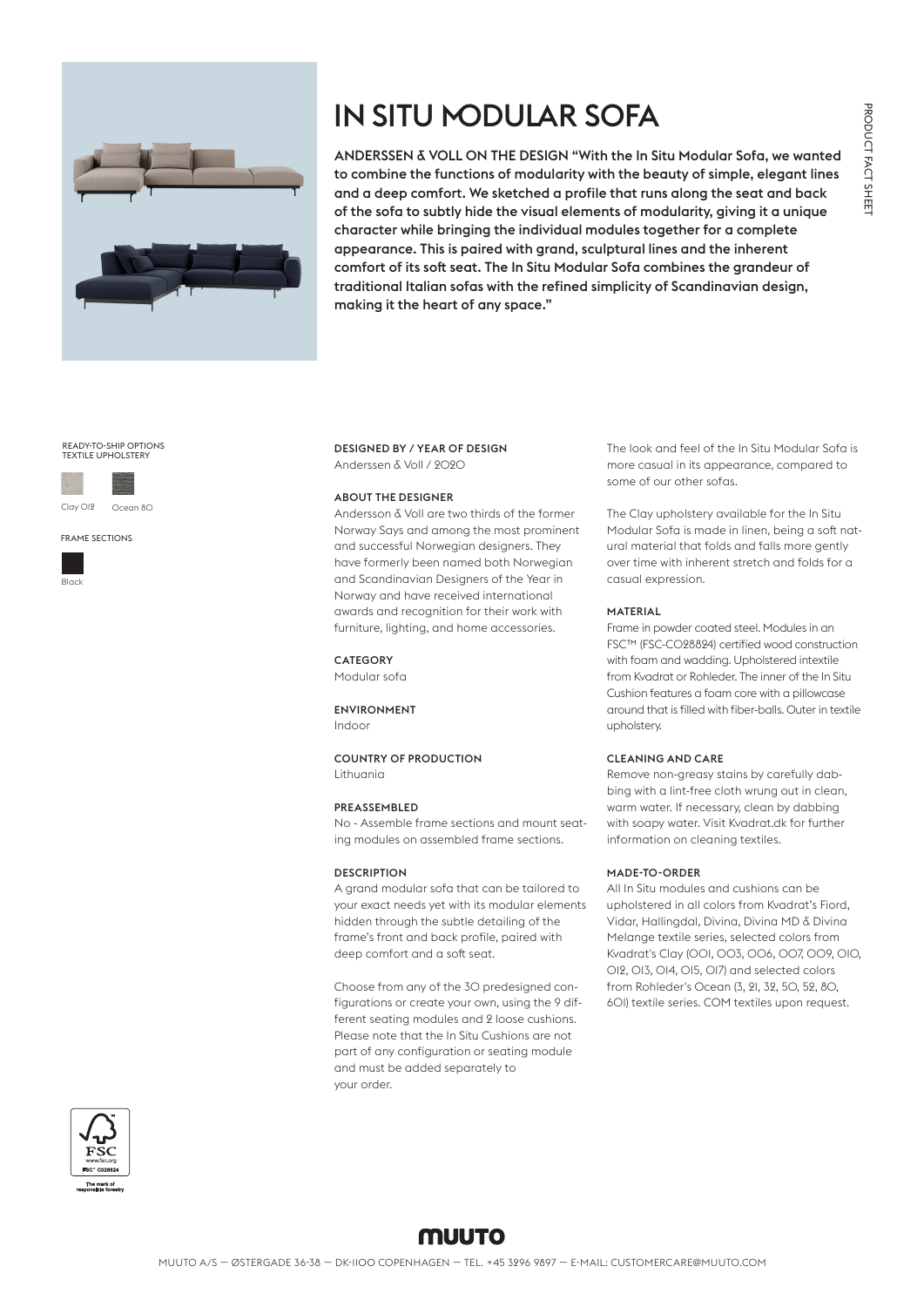

# IN SITU MODULAR SOFA

ANDERSSEN & VOLL ON THE DESIGN "With the In Situ Modular Sofa, we wanted to combine the functions of modularity with the beauty of simple, elegant lines and a deep comfort. We sketched a profile that runs along the seat and back of the sofa to subtly hide the visual elements of modularity, giving it a unique character while bringing the individual modules together for a complete appearance. This is paired with grand, sculptural lines and the inherent comfort of its soft seat. The In Situ Modular Sofa combines the grandeur of traditional Italian sofas with the refined simplicity of Scandinavian design, making it the heart of any space."

# READY-TO-SHIP OPTIONS TEXTILE UPHOLSTERY







DESIGNED BY / YEAR OF DESIGN Anderssen & Voll / 2020

#### ABOUT THE DESIGNER

Andersson & Voll are two thirds of the former Norway Says and among the most prominent and successful Norwegian designers. They have formerly been named both Norwegian and Scandinavian Designers of the Year in Norway and have received international awards and recognition for their work with furniture, lighting, and home accessories.

CATEGORY Modular sofa

ENVIRONMENT Indoor

COUNTRY OF PRODUCTION

#### PREASSEMBLED

Lithuania

No - Assemble frame sections and mount seating modules on assembled frame sections.

# **DESCRIPTION**

A grand modular sofa that can be tailored to your exact needs yet with its modular elements hidden through the subtle detailing of the frame's front and back profile, paired with deep comfort and a soft seat.

Choose from any of the 30 predesigned configurations or create your own, using the 9 different seating modules and 2 loose cushions. Please note that the In Situ Cushions are not part of any configuration or seating module and must be added separately to your order.

The look and feel of the In Situ Modular Sofa is more casual in its appearance, compared to some of our other sofas.

The Clay upholstery available for the In Situ Modular Sofa is made in linen, being a soft natural material that folds and falls more gently over time with inherent stretch and folds for a casual expression.

## MATERIAL

Frame in powder coated steel. Modules in an FSC™️ (FSC-C028824) certified wood construction with foam and wadding. Upholstered intextile from Kvadrat or Rohleder. The inner of the In Situ Cushion features a foam core with a pillowcase around that is filled with fiber-balls. Outer in textile upholstery.

### CLEANING AND CARE

Remove non-greasy stains by carefully dabbing with a lint-free cloth wrung out in clean, warm water. If necessary, clean by dabbing with soapy water. Visit Kvadrat.dk for further information on cleaning textiles.

# MADE-TO-ORDER

All In Situ modules and cushions can be upholstered in all colors from Kvadrat's Fiord, Vidar, Hallingdal, Divina, Divina MD & Divina Melange textile series, selected colors from Kvadrat's Clay (001, 003, 006, 007, 009, 010, 012, 013, 014, 015, 017) and selected colors from Rohleder's Ocean (3, 21, 32, 50, 52, 80, 601) textile series. COM textiles upon request.



# muuto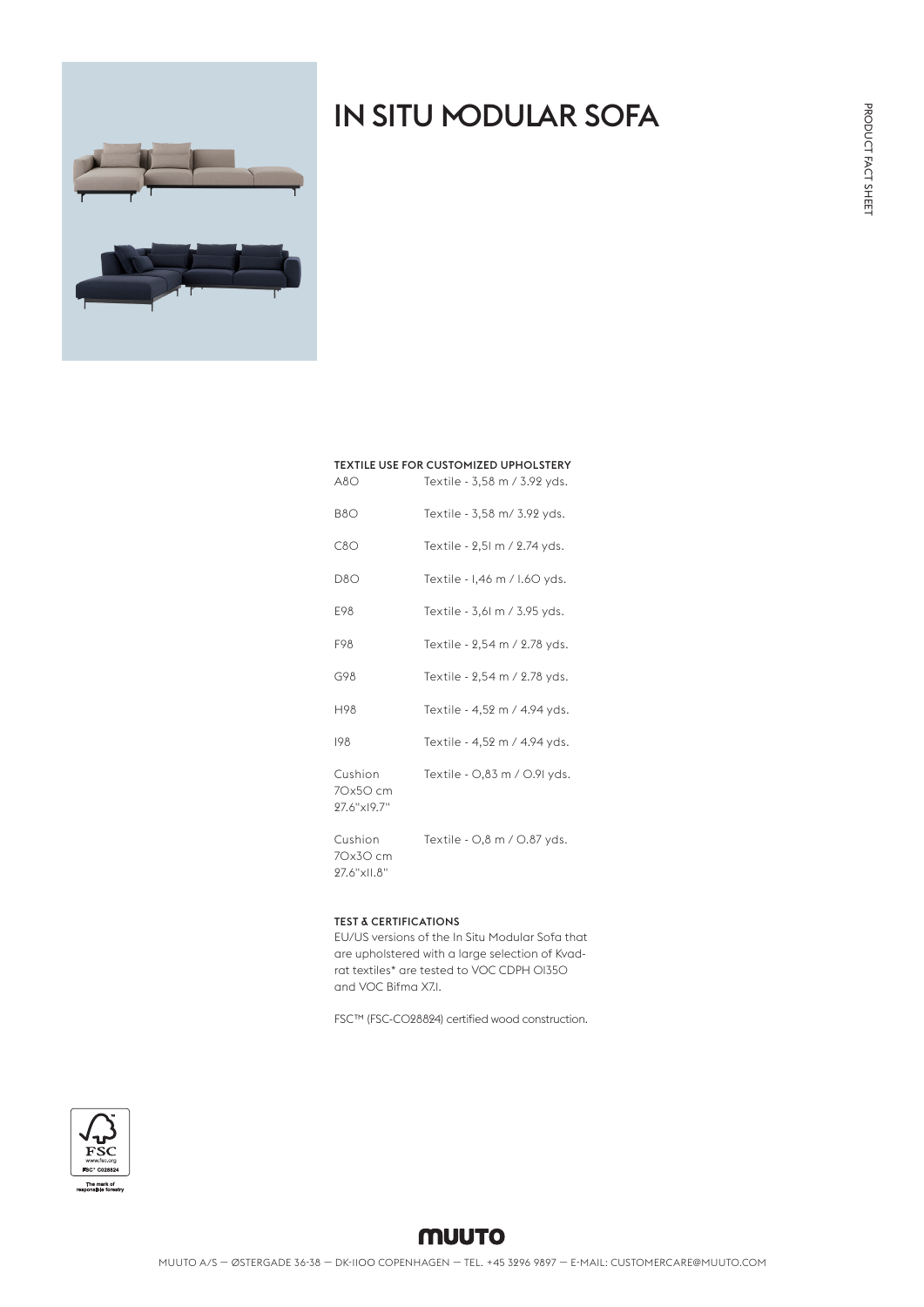# IN SITU MODULAR SOFA



| <b>TEXTILE USE FOR CUSTOMIZED UPHOLSTERY</b> |                              |
|----------------------------------------------|------------------------------|
| A8O                                          | Textile - 3,58 m / 3.92 yds. |
| B8O                                          | Textile - 3,58 m/ 3.92 yds.  |
| C8O                                          | Textile - 2,51 m / 2.74 yds. |
| D8O                                          | Textile - 1,46 m / 1.60 yds. |
| E98                                          | Textile - 3,61 m / 3.95 yds. |
| F98                                          | Textile - 2,54 m / 2.78 yds. |
| G98                                          | Textile - 2,54 m / 2.78 yds. |
| H98                                          | Textile - 4,52 m / 4.94 yds. |
| 198                                          | Textile - 4,52 m / 4.94 yds. |
| Cushion<br>70x50 cm<br>97.6"x19.7"           | Textile - 0,83 m / 0.91 yds. |
| Cushion<br>70x30 cm<br>27.6"xII.8"           | Textile - 0,8 m / 0.87 yds.  |

## TEST & CERTIFICATIONS

EU/US versions of the In Situ Modular Sofa that are upholstered with a large selection of Kvadrat textiles\* are tested to VOC CDPH 01350 and VOC Bifma X7.1.

FSC™️ (FSC-C028824) certified wood construction.

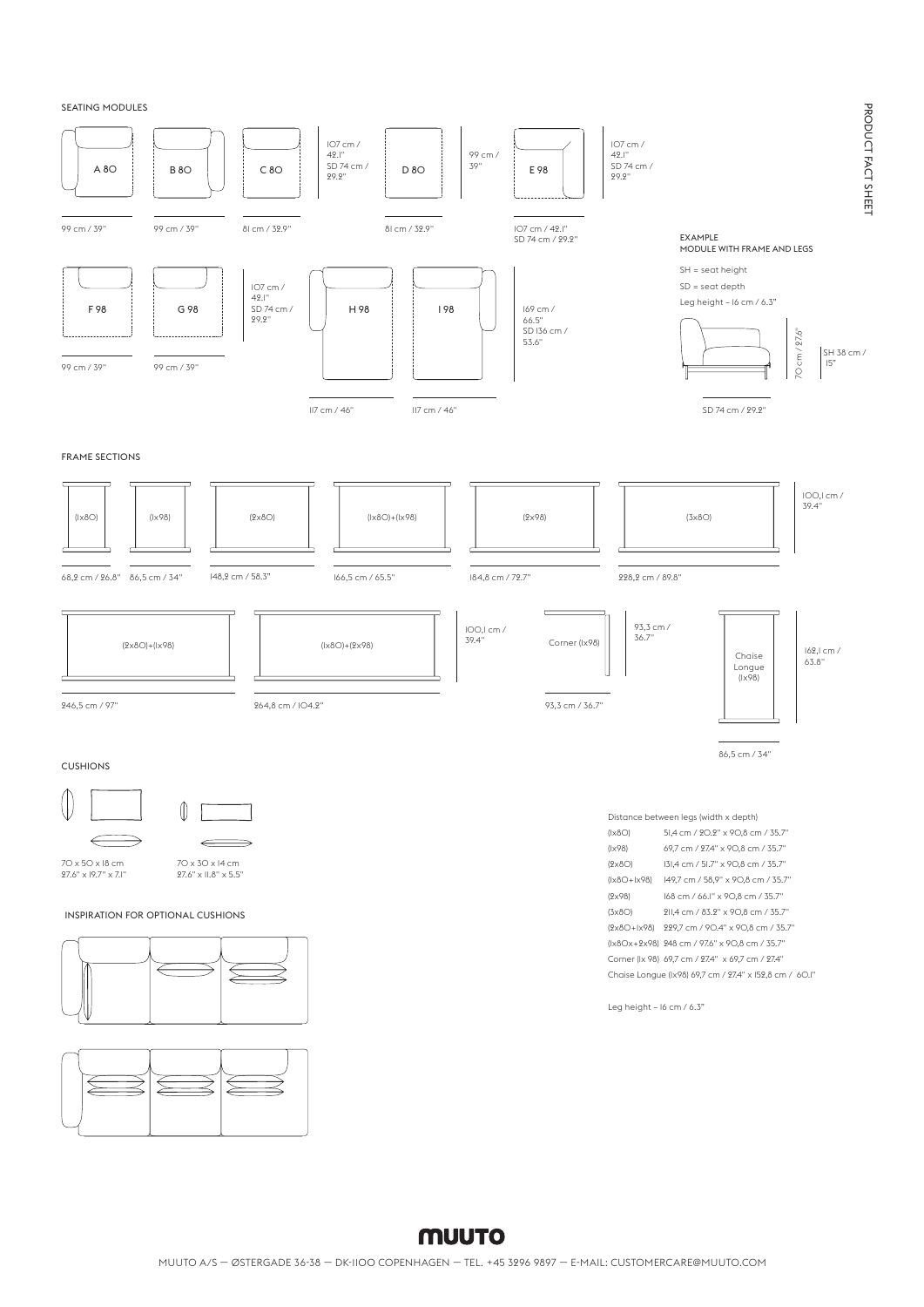SEATING MODULES

 $\overline{\phantom{0}}$ 

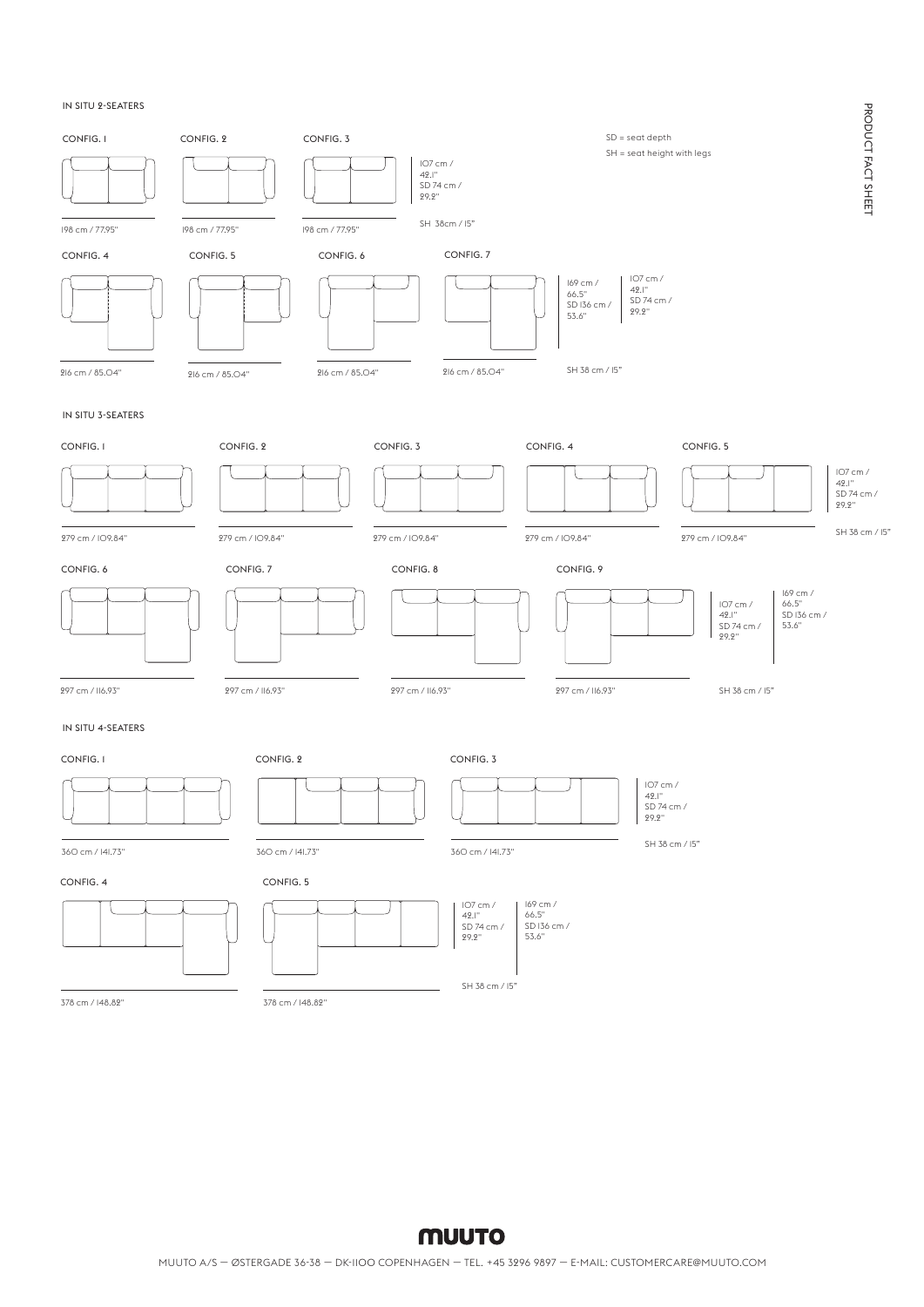#### IN SITU 2-SEATERS